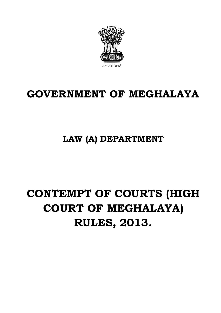

# **GOVERNMENT OF MEGHALAYA**

**LAW (A) DEPARTMENT**

# **CONTEMPT OF COURTS (HIGH COURT OF MEGHALAYA) RULES, 2013.**

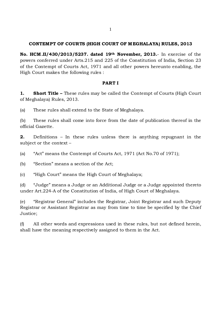#### **CONTEMPT OF COURTS (HIGH COURT OF M EGHALAYA) RULES, 2013**

**No. HCM .II/430/2013/5237. dated 19th November, 2013.**- In exercise of the powers conferred under Arts.215 and 225 of the Constitution of India, Section 23 of the Contempt of Courts Act, 1971 and all other powers hereunto enabling, the High Court makes the following rules :

#### **PART I**

**1. Short Title –** These rules may be called the Contempt of Courts (High Court of Meghalaya) Rules, 2013.

(a) These rules shall extend to the State of Meghalaya.

(b) These rules shall come into force from the date of publication thereof in the official Gazette.

**2.** Definitions – In these rules unless there is anything repugnant in the subject or the context –

(a) "Act" means the Contempt of Courts Act, 1971 (Act No.70 of 1971);

(b) "Section" means a section of the Act;

(c) "High Court" means the High Court of Meghalaya;

(d) "Judge" means a Judge or an Additional Judge or a Judge appointed thereto under Art.224-A of the Constitution of India, of High Court of Meghalaya.

(e) "Registrar General" includes the Registrar, Joint Registrar and such Deputy Registrar or Assistant Registrar as may from time to time be specified by the Chief Justice;

(f) All other words and expressions used in these rules, but not defined herein, shall have the meaning respectively assigned to them in the Act.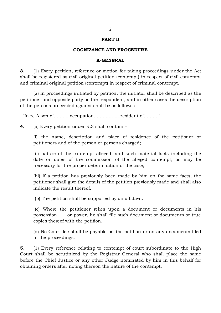#### **PART II**

#### **COGNIZANCE AND PROCEDURE**

#### **A-GENERAL**

**3.** (1) Every petition, reference or motion for taking proceedings under the Act shall be registered as civil original petition (contempt) in respect of civil contempt and criminal original petition (contempt) in respect of criminal contempt.

(2) In proceedings initiated by petition, the initiator shall be described as the petitioner and opposite party as the respondent, and in other cases the description of the persons proceeded against shall be as follows :

"In re A son of………..occupation………………resident of………."

**4.** (a) Every petition under R.3 shall contain –

(i) the name, description and place of residence of the petitioner or petitioners and of the person or persons charged;

(ii) nature of the contempt alleged, and such material facts including the date or dates of the commission of the alleged contempt, as may be necessary for the proper determination of the case;

(iii) if a petition has previously been made by him on the same facts, the petitioner shall give the details of the petition previously made and shall also indicate the result thereof.

(b) The petition shall be supported by an affidavit.

(c) Where the petitioner relies upon a document or documents in his possession or power, he shall file such document or documents or true copies thereof with the petition.

(d) No Court fee shall be payable on the petition or on any documents filed in the proceedings.

**5.** (1) Every reference relating to contempt of court subordinate to the High Court shall be scrutinized by the Registrar General who shall place the same before the Chief Justice or any other Judge nominated by him in this behalf for obtaining orders after noting thereon the nature of the contempt.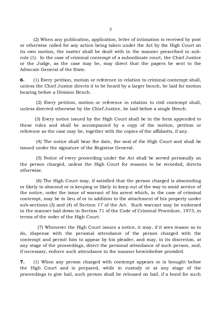(2) When any publication, application, letter of intimation is received by post or otherwise called for any action being taken under the Act by the High Court on its own motion, the matter shall be dealt with in the manner prescribed in subrule (1). In the case of criminal contempt of a subordinate court, the Chief Justice or the Judge, as the case may be, may direct that the papers be sent to the Advocate General of the State.

**6.** (1) Every petition, motion or reference in relation to criminal contempt shall, unless the Chief Justice directs it to be heard by a larger bench, be laid for motion hearing before a Division Bench.

 (2) Every petition, motion or reference in relation to civil contempt shall, unless directed otherwise by the Chief Justice, be laid before a single Bench.

 (3) Every notice issued by the High Court shall be in the form appended to these rules and shall be accompanied by a copy of the motion, petition or reference as the case may be, together with the copies of the affidavits, if any.

 (4) The notice shall bear the date, the seal of the High Court and shall be issued under the signature of the Registrar General.

 (5) Notice of every proceeding under the Act shall be served personally on the person charged, unless the High Court for reasons to be recorded, directs otherwise.

 (6) The High Court may, if satisfied that the person charged is absconding or likely to abscond or is keeping or likely to keep out of the way to avoid service of the notice, order the issue of warrant of his arrest which, in the case of criminal contempt, may be in lieu of or in addition to the attachment of his property under sub-sections (3) and (4) of Section 17 of the Act. Such warrant may be endorsed in the manner laid down in Section 71 of the Code of Criminal Procedure, 1973, in terms of the order of the High Court.

 (7) Whenever the High Court issues a notice, it may, if it sees reason so to do, dispense with the personal attendance of the person charged with the contempt and permit him to appear by his pleader, and may, in its discretion, at any stage of the proceedings, direct the personal attendance of such person, and, if necessary, enforce such attendance in the manner hereinbefore provided.

**7.** (1) When any person charged with contempt appears or is brought before the High Court and is prepared, while in custody or at any stage of the proceedings to give bail, such person shall be released on bail, if a bond for such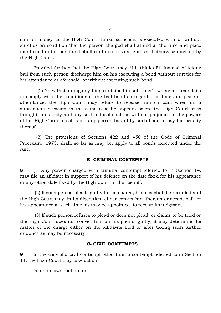sum of money as the High Court thinks sufficient is executed with or without sureties on condition that the person charged shall attend at the time and place mentioned in the bond and shall continue to so attend until otherwise directed by the High Court.

Provided further that the High Court may, if it thinks fit, instead of taking bail from such person discharge him on his executing a bond without sureties for his attendance as aforesaid, or without executing such bond.

 (2) Notwithstanding anything contained in sub-rule(1) where a person fails to comply with the conditions of the bail bond as regards the time and place of attendance, the High Court may refuse to release him on bail, when on a subsequent occasion in the same case he appears before the High Court or is brought in custody and any such refusal shall be without prejudice to the powers of the High Court to call upon any person bound by such bond to pay the penalty thereof.

 (3) The provisions of Sections 422 and 450 of the Code of Criminal Procedure, 1973, shall, so far as may be, apply to all bonds executed under the rule.

#### **B- CRIM INAL CONTEMPTS**

**8**. (1) Any person charged with criminal contempt referred to in Section 14, may file an affidavit in support of his defence on the date fixed for his appearance or any other date fixed by the High Court in that behalf.

(2) If such person pleads guilty to the charge, his plea shall be recorded and the High Court may, in its discretion, either convict him thereon or accept bail for his appearance at such time, as may be appointed, to receive its judgment.

(3) If such person refuses to plead or does not plead, or claims to be tried or the High Court does not convict him on his plea of guilty, it may determine the matter of the charge either on the affidavits filed or after taking such further evidence as may be necessary.

#### **C- CIVIL CONTEMPTS**

**9**. In the case of a civil contempt other than a contempt referred to in Section 14, the High Court may take action-

(a) on its own motion; or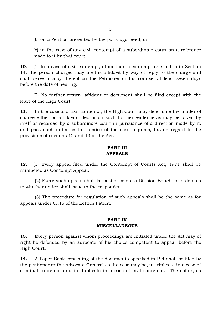(b) on a Petition presented by the party aggrieved; or

(c) in the case of any civil contempt of a subordinate court on a reference made to it by that court.

**10**. (1) In a case of civil contempt, other than a contempt referred to in Section 14, the person charged may file his affidavit by way of reply to the charge and shall serve a copy thereof on the Petitioner or his counsel at least seven days before the date of hearing.

(2) No further return, affidavit or document shall be filed except with the leave of the High Court.

**11**. In the case of a civil contempt, the High Court may determine the matter of charge either on affidavits filed or on such further evidence as may be taken by itself or recorded by a subordinate court in pursuance of a direction made by it, and pass such order as the justice of the case requires, having regard to the provisions of sections 12 and 13 of the Act.

#### **PART III APPEALS**

**12**. (1) Every appeal filed under the Contempt of Courts Act, 1971 shall be numbered as Contempt Appeal.

 (2) Every such appeal shall be posted before a Division Bench for orders as to whether notice shall issue to the respondent.

(3) The procedure for regulation of such appeals shall be the same as for appeals under Cl.15 of the Letters Patent.

#### **PART IV MISCELLANEOUS**

**13**. Every person against whom proceedings are initiated under the Act may of right be defended by an advocate of his choice competent to appear before the High Court.

**14.** A Paper Book consisting of the documents specified in R.4 shall be filed by the petitioner or the Advocate-General as the case may be, in triplicate in a case of criminal contempt and in duplicate in a case of civil contempt. Thereafter, as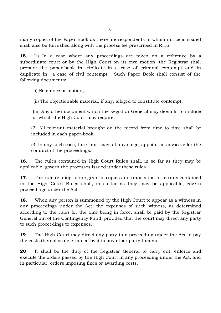many copies of the Paper Book as there are respondents to whom notice is issued shall also be furnished along with the process fee prescribed in R.16.

**15**. (1) In a case where any proceedings are taken on a reference by a subordinate court or by the High Court on its own motion, the Registrar shall prepare the paper-book in triplicate in a case of criminal contempt and in duplicate in a case of civil contempt. Such Paper Book shall consist of the following documents:

(i) Reference or motion,

(ii) The objectionable material, if any, alleged to constitute contempt,

(iii) Any other document which the Registrar General may deem fit to include or which the High Court may require.

(2) All relevant material brought on the record from time to time shall be included in each paper-book.

(3) In any such case, the Court may, at any stage, appoint an advocate for the conduct of the proceedings.

**16**. The rules contained in High Court Rules shall, in so far as they may be applicable, govern the processes issued under these rules.

**17**. The rule relating to the grant of copies and translation of records contained in the High Court Rules shall, in so far as they may be applicable, govern proceedings under the Act.

**18**. When any person is summoned by the High Court to appear as a witness in any proceedings under the Act, the expenses of such witness, as determined according to the rules for the time being in force, shall be paid by the Registrar General out of the Contingency Fund; provided that the court may direct any party to such proceedings to expenses.

**19**. The High Court may direct any party to a proceeding under the Act to pay the costs thereof as determined by it to any other party thereto.

**20**. It shall be the duty of the Registrar General to carry out, enforce and execute the orders passed by the High Court in any proceeding under the Act, and in particular, orders imposing fines or awarding costs.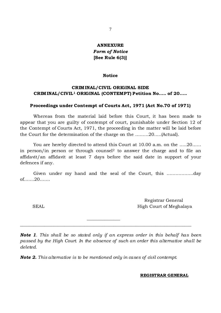### **ANNEXURE** *Form of Notice* **[See Rule 6(3)]**

#### **Notice**

#### **CRIM INAL/CIVIL ORIGINAL SIDE CRIM INAL/CIVIL1 ORIGINAL (CONTEMPT) Petition No….. of 20…..**

#### **Proceedings under Contempt of Courts Act, 1971 (Act No.70 of 1971)**

Whereas from the material laid before this Court, it has been made to appear that you are guilty of contempt of court, punishable under Section 12 of the Contempt of Courts Act, 1971, the proceeding in the matter will be laid before the Court for the determination of the charge on the ………20…..(Actual).

You are hereby directed to attend this Court at 10.00 a.m. on the …..20…… in person/in person or through counsel<sup>2</sup> to answer the charge and to file an affidavit/an affidavit at least 7 days before the said date in support of your defences if any.

Given under my hand and the seal of the Court, this ………………day of…….20…….

 Registrar General SEAL SEAL High Court of Meghalaya

*Note 1. This shall be so stated only if an express order in this behalf has been passed by the High Court. In the absence of such an order this alternative shall be deleted.*

*Note 2. This alternative is to be mentioned only in cases of civil contempt.*

 $\overline{\phantom{a}}$  , where  $\overline{\phantom{a}}$ \_\_\_\_\_\_\_\_\_\_\_\_\_\_\_\_\_\_\_\_\_\_\_\_\_\_\_\_\_\_\_\_\_\_\_\_\_\_\_\_\_\_\_\_\_\_\_\_\_\_\_\_\_\_\_\_\_\_\_\_\_\_\_\_\_\_\_\_\_\_\_\_\_\_\_\_\_

#### **REGISTRAR GENERAL**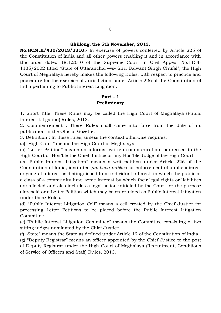#### **Shillong, the 5th November, 2013.**

**No.HCM .II/430/2013/2310.-** In exercise of powers conferred by Article 225 of the Constitution of India and all other powers enabling it and in accordance with the order dated 18.1.2010 of the Supreme Court in Civil Appeal No.1134- 1135/2002 titled "State of Uttaranchal –vs- Shri Balwant Singh Chufal", the High Court of Meghalaya hereby makes the following Rules, with respect to practice and procedure for the exercise of Jurisdiction under Article 226 of the Constitution of India pertaining to Public Interest Litigation.

#### **Part – 1 Preliminary**

1. Short Title: These Rules may be called the High Court of Meghalaya (Public Interest Litigation) Rules, 2013.

2. Commencement : These Rules shall come into force from the date of its publication in the Official Gazette.

3. Definition : In these rules, unless the context otherwise requires:

(a) "High Court" means the High Court of Meghalaya,

(b) "Letter Petition" means an informal written communication, addressed to the High Court or Hon'ble the Chief Justice or any Hon'ble Judge of the High Court.

(c) "Public Interest Litigation" means a writ petition under Article 226 of the Constitution of India, instituted *pro bona publico* for enforcement of public interest or general interest as distinguished from individual interest, in which the public or a class of a community have some interest by which their legal rights or liabilities are affected and also includes a legal action initiated by the Court for the purpose aforesaid or a Letter Petition which may be entertained as Public Interest Litigation under these Rules.

(d) "Public Interest Litigation Cell" means a cell created by the Chief Justice for processing Letter Petitions to be placed before the Public Interest Litigation Committee.

(e) "Public Interest Litigation Committee" means the Committee consisting of two sitting judges nominated by the Chief Justice.

(f) "State" means the State as defined under Article 12 of the Constitution of India.

(g) "Deputy Registrar" means an officer appointed by the Chief Justice to the post of Deputy Registrar under the High Court of Meghalaya (Recruitment, Conditions of Service of Officers and Staff) Rules, 2013.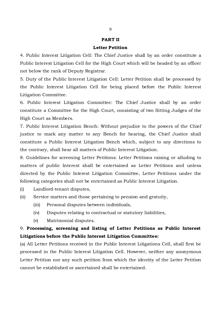#### **PART II**

#### **Letter Petition**

4. Public Interest Litigation Cell: The Chief Justice shall by an order constitute a Public Interest Litigation Cell for the High Court which will be headed by an officer not below the rank of Deputy Registrar.

5. Duty of the Public Interest Litigation Cell: Letter Petition shall be processed by the Public Interest Litigation Cell for being placed before the Public Interest Litigation Committee.

6. Public Interest Litigation Committee: The Chief Justice shall by an order constitute a Committee for the High Court, consisting of two Sitting Judges of the High Court as Members.

7. Public Interest Litigation Bench: Without prejudice to the powers of the Chief justice to mark any matter to any Bench for hearing, the Chief Justice shall constitute a Public Interest Litigation Bench which, subject to any directions to the contrary, shall hear all matters of Public Interest Litigation.

8. Guidelines for screening Letter Petitions: Letter Petitions raising or alluding to matters of public Interest shall be entertained as Letter Petitions and unless directed by the Public Interest Litigation Committee, Letter Petitions under the following categories shall not be entertained as Public Interest Litigation.

- (i) Landlord-tenant disputes,
- (ii) Service matters and those pertaining to pension and gratuity,
	- (iii) Personal disputes between individuals,
	- (iv) Disputes relating to contractual or statutory liabilities,
	- (v) Matrimonial disputes.

## 9. **Processing, screening and listing of Letter Petitions as Public Interest Litigations before the Public Interest Litigation Committee:**

(a) All Letter Petitions received in the Public Interest Litigations Cell, shall first be processed in the Public Interest Litigation Cell. However, neither any anonymous Letter Petition nor any such petition from which the identity of the Letter Petition cannot be established or ascertained shall be entertained.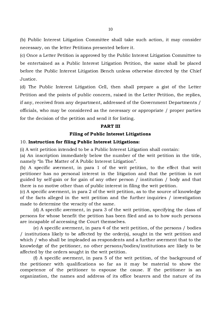(b) Public Interest Litigation Committee shall take such action, it may consider necessary, on the letter Petitions presented before it.

(c) Once a Letter Petition is approved by the Public Interest Litigation Committee to be entertained as a Public Interest Litigation Petition, the same shall be placed before the Public Interest Litigation Bench unless otherwise directed by the Chief Justice.

(d) The Public Interest Litigation Cell, then shall prepare a gist of the Letter Petition and the points of public concern, raised in the Letter Petition, the replies, if any, received from any department, addressed of the Government Departments / officials, who may be considered as the necessary or appropriate / proper parties for the decision of the petition and send it for listing.

#### **PART III**

#### **Filing of Public Interest Litigations**

#### 10. **Instruction for filing Public Interest Litigations:**

(i) A writ petition intended to be a Public Interest Litigation shall contain:

(a) An inscription immediately below the number of the writ petition in the title, namely "In The Matter of A Public Interest Litigation".

(b) A specific averment, in para 1 of the writ petition, to the effect that writ petitioner has no personal interest in the litigation and that the petition is not guided by self-gain or for gain of any other person / institution / body and that there is no motive other than of public interest in filing the writ petition.

(c) A specific averment, in para 2 of the writ petition, as to the source of knowledge of the facts alleged in the writ petition and the further inquiries / investigation made to determine the veracity of the same.

(d) A specific averment, in para 3 of the writ petition, specifying the class of persons for whose benefit the petition has been filed and as to how such persons are incapable of accessing the Court themselves.

(e) A specific averment, in para 4 of the writ petition, of the persons / bodies / institutions likely to be affected by the order(s), sought in the writ petition and which / who shall be impleaded as respondents and a further averment that to the knowledge of the petitioner, no other persons/bodies/institutions are likely to be affected by the orders sought in the writ petition.

(f) A specific averment, in para 5 of the writ petition, of the background of the petitioner with qualifications so far as it may be material to show the competence of the petitioner to espouse the cause. If the petitioner is an organization, the names and address of its office bearers and the nature of its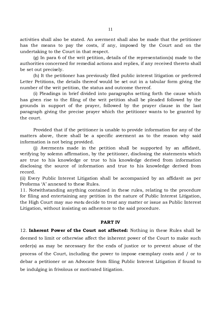activities shall also be stated. An averment shall also be made that the petitioner has the means to pay the costs, if any, imposed by the Court and on the undertaking to the Court in that respect.

(g) In para 6 of the writ petition, details of the representation(s) made to the authorities concerned for remedial actions and replies, if any received thereto shall be set out precisely.

(h) It the petitioner has previously filed public interest litigation or preferred Letter Petitions, the details thereof would be set out in a tabular form giving the number of the writ petition, the status and outcome thereof.

(i) Pleadings in brief divided into paragraphs setting forth the cause which has given rise to the filing of the writ petition shall be pleaded followed by the grounds in support of the prayer, followed by the prayer clause in the last paragraph giving the precise prayer which the petitioner wants to be granted by the court.

Provided that if the petitioner is unable to provide information for any of the matters above, there shall be a specific averment as to the reason why said information is not being provided.

(j) Averments made in the petition shall be supported by an affidavit, verifying by solemn affirmation, by the petitioner, disclosing the statements which are true to his knowledge or true to his knowledge derived from information disclosing the source of information and true to his knowledge derived from record.

(ii) Every Public Interest Litigation shall be accompanied by an affidavit as per Proforma 'A' annexed to these Rules.

11. Notwithstanding anything contained in these rules, relating to the procedure for filing and entertaining any petition in the nature of Public Interest Litigation, the High Court may *suo motu* decide to treat any matter or issue as Public Interest Litigation, without insisting on adherence to the said procedure.

#### **PART IV**

12. **Inherent Power of the Court not affected:** Nothing in these Rules shall be deemed to limit or otherwise affect the inherent power of the Court to make such order(s) as may be necessary for the ends of justice or to prevent abuse of the process of the Court, including the power to impose exemplary costs and / or to debar a petitioner or an Advocate from filing Public Interest Litigation if found to be indulging in frivolous or motivated litigation.